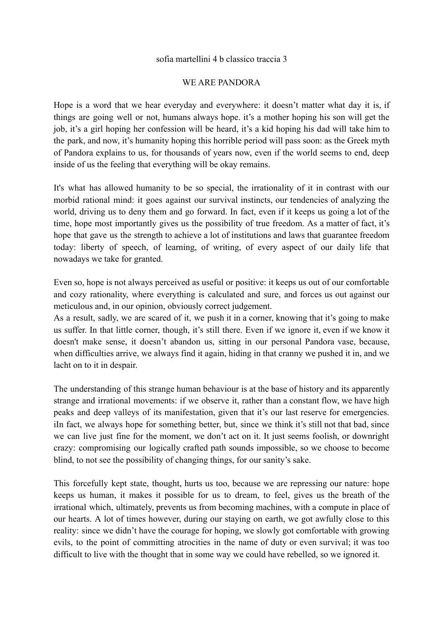## sofia martellini 4 b classico traccia 3

## WE ARE PANDORA

Hope is a word that we hear everyday and everywhere: it doesn't matter what day it is, if things are going well or not, humans always hope. it's a mother hoping his son will get the job, it's a girl hoping her confession will be heard, it's a kid hoping his dad will take him to the park, and now, it's humanity hoping this horrible period will pass soon: as the Greek myth of Pandora explains to us, for thousands of years now, even if the world seems to end, deep inside of us the feeling that everything will be okay remains.

It's what has allowed humanity to be so special, the irrationality of it in contrast with our morbid rational mind: it goes against our survival instincts, our tendencies of analyzing the world, driving us to deny them and go forward. In fact, even if it keeps us going a lot of the time, hope most importantly gives us the possibility of true freedom. As a matter of fact, it's hope that gave us the strength to achieve a lot of institutions and laws that guarantee freedom today: liberty of speech, of learning, of writing, of every aspect of our daily life that nowadays we take for granted.

Even so, hope is not always perceived as useful or positive: it keeps us out of our comfortable and cozy rationality, where everything is calculated and sure, and forces us out against our meticulous and, in our opinion, obviously correct judgement.

As a result, sadly, we are scared of it, we push it in a corner, knowing that it's going to make us suffer. In that little corner, though, it's still there. Even if we ignore it, even if we know it doesn't make sense, it doesn't abandon us, sitting in our personal Pandora vase, because, when difficulties arrive, we always find it again, hiding in that cranny we pushed it in, and we lacht on to it in despair.

The understanding of this strange human behaviour is at the base of history and its apparently strange and irrational movements: if we observe it, rather than a constant flow, we have high peaks and deep valleys of its manifestation, given that it's our last reserve for emergencies. iIn fact, we always hope for something better, but, since we think it's still not that bad, since we can live just fine for the moment, we don't act on it. It just seems foolish, or downright crazy: compromising our logically crafted path sounds impossible, so we choose to become blind, to not see the possibility of changing things, for our sanity's sake.

This forcefully kept state, thought, hurts us too, because we are repressing our nature: hope keeps us human, it makes it possible for us to dream, to feel, gives us the breath of the irrational which, ultimately, prevents us from becoming machines, with a compute in place of our hearts. A lot of times however, during our staying on earth, we got awfully close to this reality: since we didn't have the courage for hoping, we slowly got comfortable with growing evils, to the point of committing atrocities in the name of duty or even survival; it was too difficult to live with the thought that in some way we could have rebelled, so we ignored it.